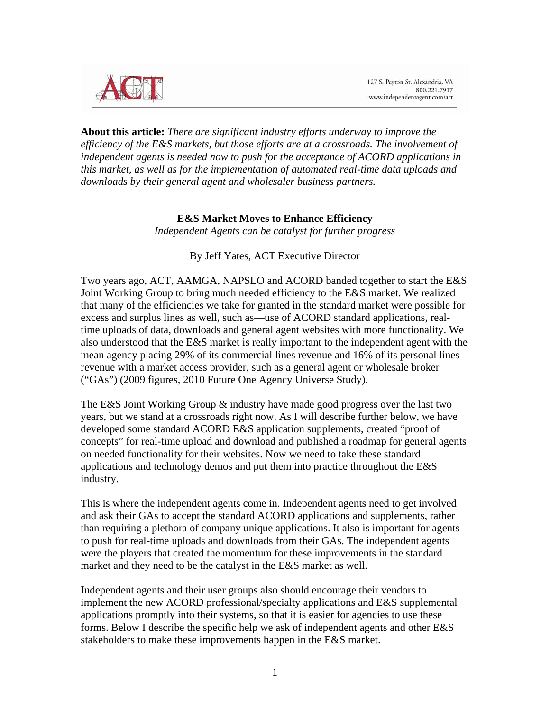

**About this article:** *There are significant industry efforts underway to improve the efficiency of the E&S markets, but those efforts are at a crossroads. The involvement of independent agents is needed now to push for the acceptance of ACORD applications in this market, as well as for the implementation of automated real-time data uploads and downloads by their general agent and wholesaler business partners.*

## **E&S Market Moves to Enhance Efficiency**

*Independent Agents can be catalyst for further progress* 

#### By Jeff Yates, ACT Executive Director

Two years ago, ACT, AAMGA, NAPSLO and ACORD banded together to start the E&S Joint Working Group to bring much needed efficiency to the E&S market. We realized that many of the efficiencies we take for granted in the standard market were possible for excess and surplus lines as well, such as—use of ACORD standard applications, realtime uploads of data, downloads and general agent websites with more functionality. We also understood that the E&S market is really important to the independent agent with the mean agency placing 29% of its commercial lines revenue and 16% of its personal lines revenue with a market access provider, such as a general agent or wholesale broker ("GAs") (2009 figures, 2010 Future One Agency Universe Study).

The E&S Joint Working Group & industry have made good progress over the last two years, but we stand at a crossroads right now. As I will describe further below, we have developed some standard ACORD E&S application supplements, created "proof of concepts" for real-time upload and download and published a roadmap for general agents on needed functionality for their websites. Now we need to take these standard applications and technology demos and put them into practice throughout the E&S industry.

This is where the independent agents come in. Independent agents need to get involved and ask their GAs to accept the standard ACORD applications and supplements, rather than requiring a plethora of company unique applications. It also is important for agents to push for real-time uploads and downloads from their GAs. The independent agents were the players that created the momentum for these improvements in the standard market and they need to be the catalyst in the E&S market as well.

Independent agents and their user groups also should encourage their vendors to implement the new ACORD professional/specialty applications and E&S supplemental applications promptly into their systems, so that it is easier for agencies to use these forms. Below I describe the specific help we ask of independent agents and other E&S stakeholders to make these improvements happen in the E&S market.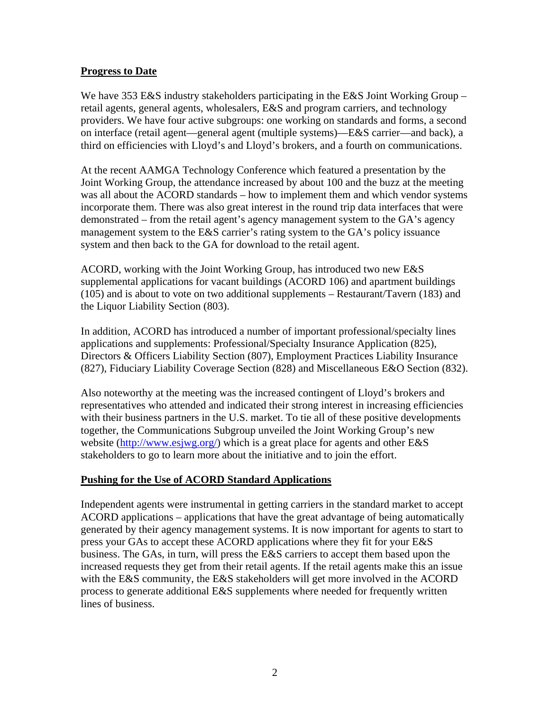### **Progress to Date**

We have 353 E&S industry stakeholders participating in the E&S Joint Working Group – retail agents, general agents, wholesalers, E&S and program carriers, and technology providers. We have four active subgroups: one working on standards and forms, a second on interface (retail agent—general agent (multiple systems)—E&S carrier—and back), a third on efficiencies with Lloyd's and Lloyd's brokers, and a fourth on communications.

At the recent AAMGA Technology Conference which featured a presentation by the Joint Working Group, the attendance increased by about 100 and the buzz at the meeting was all about the ACORD standards – how to implement them and which vendor systems incorporate them. There was also great interest in the round trip data interfaces that were demonstrated – from the retail agent's agency management system to the GA's agency management system to the E&S carrier's rating system to the GA's policy issuance system and then back to the GA for download to the retail agent.

ACORD, working with the Joint Working Group, has introduced two new E&S supplemental applications for vacant buildings (ACORD 106) and apartment buildings (105) and is about to vote on two additional supplements – Restaurant/Tavern (183) and the Liquor Liability Section (803).

In addition, ACORD has introduced a number of important professional/specialty lines applications and supplements: Professional/Specialty Insurance Application (825), Directors & Officers Liability Section (807), Employment Practices Liability Insurance (827), Fiduciary Liability Coverage Section (828) and Miscellaneous E&O Section (832).

Also noteworthy at the meeting was the increased contingent of Lloyd's brokers and representatives who attended and indicated their strong interest in increasing efficiencies with their business partners in the U.S. market. To tie all of these positive developments together, the Communications Subgroup unveiled the Joint Working Group's new website (http://www.esjwg.org/) which is a great place for agents and other E&S stakeholders to go to learn more about the initiative and to join the effort.

#### **Pushing for the Use of ACORD Standard Applications**

Independent agents were instrumental in getting carriers in the standard market to accept ACORD applications – applications that have the great advantage of being automatically generated by their agency management systems. It is now important for agents to start to press your GAs to accept these ACORD applications where they fit for your E&S business. The GAs, in turn, will press the E&S carriers to accept them based upon the increased requests they get from their retail agents. If the retail agents make this an issue with the E&S community, the E&S stakeholders will get more involved in the ACORD process to generate additional E&S supplements where needed for frequently written lines of business.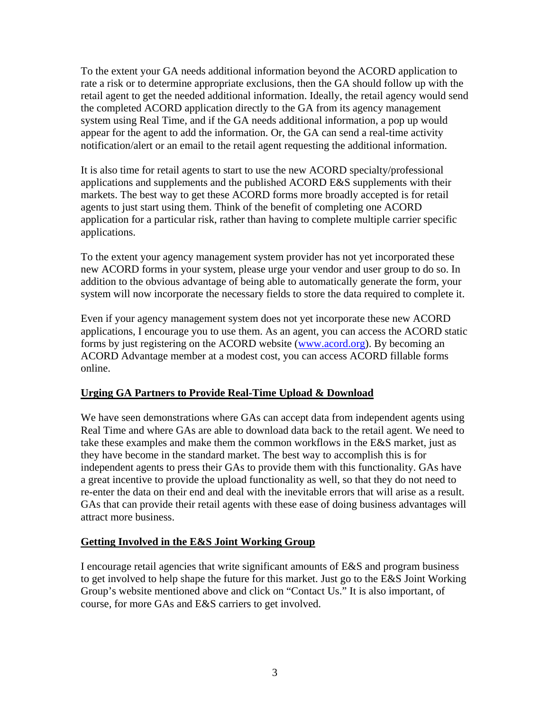To the extent your GA needs additional information beyond the ACORD application to rate a risk or to determine appropriate exclusions, then the GA should follow up with the retail agent to get the needed additional information. Ideally, the retail agency would send the completed ACORD application directly to the GA from its agency management system using Real Time, and if the GA needs additional information, a pop up would appear for the agent to add the information. Or, the GA can send a real-time activity notification/alert or an email to the retail agent requesting the additional information.

It is also time for retail agents to start to use the new ACORD specialty/professional applications and supplements and the published ACORD E&S supplements with their markets. The best way to get these ACORD forms more broadly accepted is for retail agents to just start using them. Think of the benefit of completing one ACORD application for a particular risk, rather than having to complete multiple carrier specific applications.

To the extent your agency management system provider has not yet incorporated these new ACORD forms in your system, please urge your vendor and user group to do so. In addition to the obvious advantage of being able to automatically generate the form, your system will now incorporate the necessary fields to store the data required to complete it.

Even if your agency management system does not yet incorporate these new ACORD applications, I encourage you to use them. As an agent, you can access the ACORD static forms by just registering on the ACORD website (www.acord.org). By becoming an ACORD Advantage member at a modest cost, you can access ACORD fillable forms online.

## **Urging GA Partners to Provide Real-Time Upload & Download**

We have seen demonstrations where GAs can accept data from independent agents using Real Time and where GAs are able to download data back to the retail agent. We need to take these examples and make them the common workflows in the E&S market, just as they have become in the standard market. The best way to accomplish this is for independent agents to press their GAs to provide them with this functionality. GAs have a great incentive to provide the upload functionality as well, so that they do not need to re-enter the data on their end and deal with the inevitable errors that will arise as a result. GAs that can provide their retail agents with these ease of doing business advantages will attract more business.

# **Getting Involved in the E&S Joint Working Group**

I encourage retail agencies that write significant amounts of E&S and program business to get involved to help shape the future for this market. Just go to the E&S Joint Working Group's website mentioned above and click on "Contact Us." It is also important, of course, for more GAs and E&S carriers to get involved.